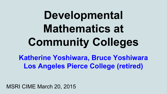# **Developmental Mathematics at Community Colleges**

**Katherine Yoshiwara, Bruce Yoshiwara Los Angeles Pierce College (retired)**

MSRI CIME March 20, 2015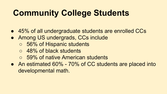# **Community College Students**

- 45% of all undergraduate students are enrolled CCs
- Among US undergrads, CCs include
	- 56% of Hispanic students
	- 48% of black students
	- 59% of native American students
- An estimated 60% 70% of CC students are placed into developmental math.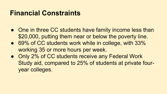#### **Financial Constraints**

- One in three CC students have family income less than \$20,000, putting them near or below the poverty line.
- 69% of CC students work while in college, with 33% working 35 or more hours per week.
- Only 2% of CC students receive any Federal Work Study aid, compared to 25% of students at private fouryear colleges.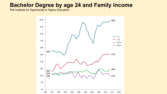#### **Bachelor Degree by age 24 and Family Income**

Pell Institute for Opportunity in Higher Education

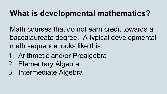#### **What is developmental mathematics?**

Math courses that do not earn credit towards a baccalaureate degree. A typical developmental math sequence looks like this:

- 1. Arithmetic and/or Prealgebra
- 2. Elementary Algebra
- 3. Intermediate Algebra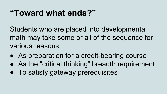### **"Toward what ends?"**

Students who are placed into developmental math may take some or all of the sequence for various reasons:

- As preparation for a credit-bearing course
- As the "critical thinking" breadth requirement
- To satisfy gateway prerequisites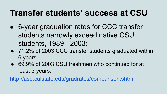### **Transfer students' success at CSU**

- 6-year graduation rates for CCC transfer students narrowly exceed native CSU students, 1989 - 2003:
- 71.2% of 2003 CCC transfer students graduated within 6 years
- 69.9% of 2003 CSU freshmen who continued for at least 3 years.

<http://asd.calstate.edu/gradrates/comparison.shtml>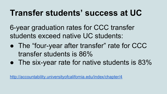#### **Transfer students' success at UC**

6-year graduation rates for CCC transfer students exceed native UC students:

- The "four-year after transfer" rate for CCC transfer students is 86%
- The six-year rate for native students is 83%

<http://accountability.universityofcalifornia.edu/index/chapter/4>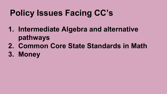# **Policy Issues Facing CC's**

- **1. Intermediate Algebra and alternative pathways**
- **2. Common Core State Standards in Math**
- **3. Money**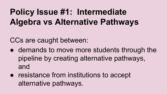# **Policy Issue #1: Intermediate Algebra vs Alternative Pathways**

CCs are caught between:

- demands to move more students through the pipeline by creating alternative pathways, and
- resistance from institutions to accept alternative pathways.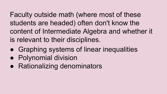Faculty outside math (where most of these students are headed) often don't know the content of Intermediate Algebra and whether it is relevant to their disciplines.

- Graphing systems of linear inequalities
- Polynomial division
- Rationalizing denominators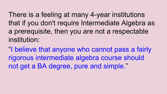There is a feeling at many 4-year institutions that if you don't require Intermediate Algebra as a prerequisite, then you are not a respectable institution:

"I believe that anyone who cannot pass a fairly rigorous intermediate algebra course should not get a BA degree, pure and simple."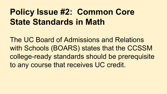### **Policy Issue #2: Common Core State Standards in Math**

The UC Board of Admissions and Relations with Schools (BOARS) states that the CCSSM college-ready standards should be prerequisite to any course that receives UC credit.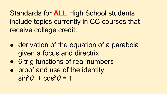Standards for **ALL** High School students include topics currently in CC courses that receive college credit:

- derivation of the equation of a parabola given a focus and directrix
- 6 trig functions of real numbers
- proof and use of the identity  $sin^2\theta + cos^2\theta = 1$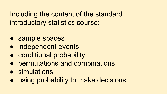Including the content of the standard introductory statistics course:

- sample spaces
- independent events
- conditional probability
- permutations and combinations
- simulations
- using probability to make decisions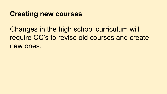#### **Creating new courses**

Changes in the high school curriculum will require CC's to revise old courses and create new ones.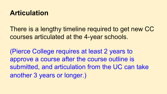#### **Articulation**

There is a lengthy timeline required to get new CC courses articulated at the 4-year schools.

(Pierce College requires at least 2 years to approve a course after the course outline is submitted, and articulation from the UC can take another 3 years or longer.)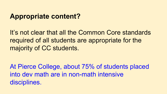#### **Appropriate content?**

It's not clear that all the Common Core standards required of all students are appropriate for the majority of CC students.

At Pierce College, about 75% of students placed into dev math are in non-math intensive disciplines.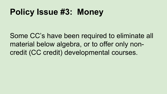### **Policy Issue #3: Money**

Some CC's have been required to eliminate all material below algebra, or to offer only noncredit (CC credit) developmental courses.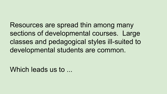Resources are spread thin among many sections of developmental courses. Large classes and pedagogical styles ill-suited to developmental students are common.

Which leads us to ...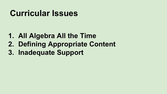### **Curricular Issues**

- **1. All Algebra All the Time**
- **2. Defining Appropriate Content**
- **3. Inadequate Support**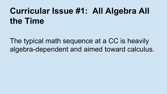## **Curricular Issue #1: All Algebra All the Time**

The typical math sequence at a CC is heavily algebra-dependent and aimed toward calculus.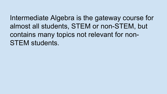Intermediate Algebra is the gateway course for almost all students, STEM or non-STEM, but contains many topics not relevant for non-STEM students.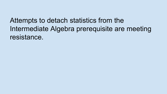Attempts to detach statistics from the Intermediate Algebra prerequisite are meeting resistance.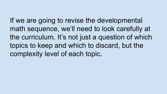If we are going to revise the developmental math sequence, we'll need to look carefully at the curriculum. It's not just a question of which topics to keep and which to discard, but the complexity level of each topic.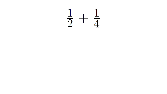# $\frac{1}{2}+\frac{1}{4}$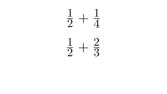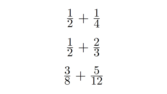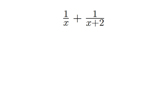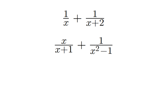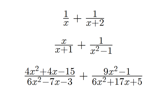

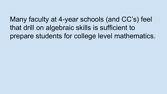Many faculty at 4-year schools (and CC's) feel that drill on algebraic skills is sufficient to prepare students for college level mathematics.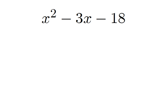# $x^2 - 3x - 18$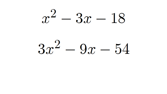# $x^2 - 3x - 18$

# $3x^2-9x-54$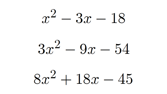# $x^2 - 3x - 18$

# $3x^2 - 9x - 54$

# $8x^2+18x-45$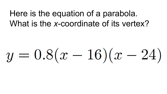#### Here is the equation of a parabola. What is the *x*-coordinate of its vertex?

# $y = 0.8(x - 16)(x - 24)$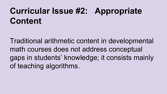## **Curricular Issue #2: Appropriate Content**

Traditional arithmetic content in developmental math courses does not address conceptual gaps in students' knowledge; it consists mainly of teaching algorithms.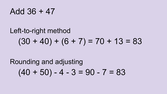#### Add 36 + 47

### Left-to-right method  $(30 + 40) + (6 + 7) = 70 + 13 = 83$

### Rounding and adjusting  $(40 + 50) - 4 - 3 = 90 - 7 = 83$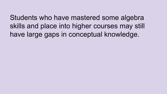Students who have mastered some algebra skills and place into higher courses may still have large gaps in conceptual knowledge.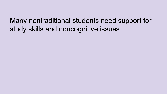Many nontraditional students need support for study skills and noncognitive issues.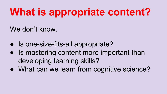# **What is appropriate content?**

We don't know.

- Is one-size-fits-all appropriate?
- Is mastering content more important than developing learning skills?
- What can we learn from cognitive science?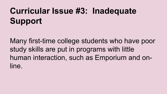# **Curricular Issue #3: Inadequate Support**

Many first-time college students who have poor study skills are put in programs with little human interaction, such as Emporium and online.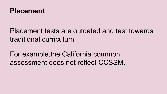

#### Placement tests are outdated and test towards traditional curriculum.

For example,the California common assessment does not reflect CCSSM.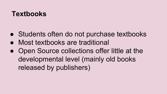#### **Textbooks**

- Students often do not purchase textbooks
- Most textbooks are traditional
- Open Source collections offer little at the developmental level (mainly old books released by publishers)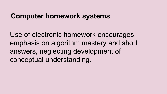#### **Computer homework systems**

Use of electronic homework encourages emphasis on algorithm mastery and short answers, neglecting development of conceptual understanding.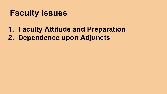#### **Faculty issues**

#### **1. Faculty Attitude and Preparation**

**2. Dependence upon Adjuncts**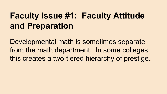### **Faculty Issue #1: Faculty Attitude and Preparation**

Developmental math is sometimes separate from the math department. In some colleges, this creates a two-tiered hierarchy of prestige.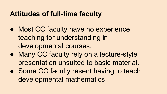#### **Attitudes of full-time faculty**

- Most CC faculty have no experience teaching for understanding in developmental courses.
- Many CC faculty rely on a lecture-style presentation unsuited to basic material.
- Some CC faculty resent having to teach developmental mathematics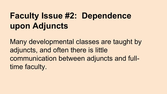# **Faculty Issue #2: Dependence upon Adjuncts**

Many developmental classes are taught by adjuncts, and often there is little communication between adjuncts and fulltime faculty.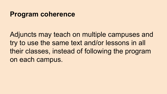#### **Program coherence**

Adjuncts may teach on multiple campuses and try to use the same text and/or lessons in all their classes, instead of following the program on each campus.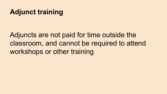#### **Adjunct training**

Adjuncts are not paid for time outside the classroom, and cannot be required to attend workshops or other training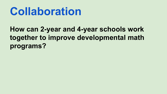# **Collaboration**

#### **How can 2-year and 4-year schools work together to improve developmental math programs?**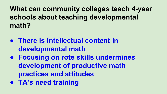**What can community colleges teach 4-year schools about teaching developmental math?**

- **● There is intellectual content in developmental math**
- **● Focusing on rote skills undermines development of productive math practices and attitudes**
- **● TA's need training**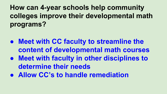**How can 4-year schools help community colleges improve their developmental math programs?**

- **● Meet with CC faculty to streamline the content of developmental math courses**
- **● Meet with faculty in other disciplines to determine their needs**
- **● Allow CC's to handle remediation**